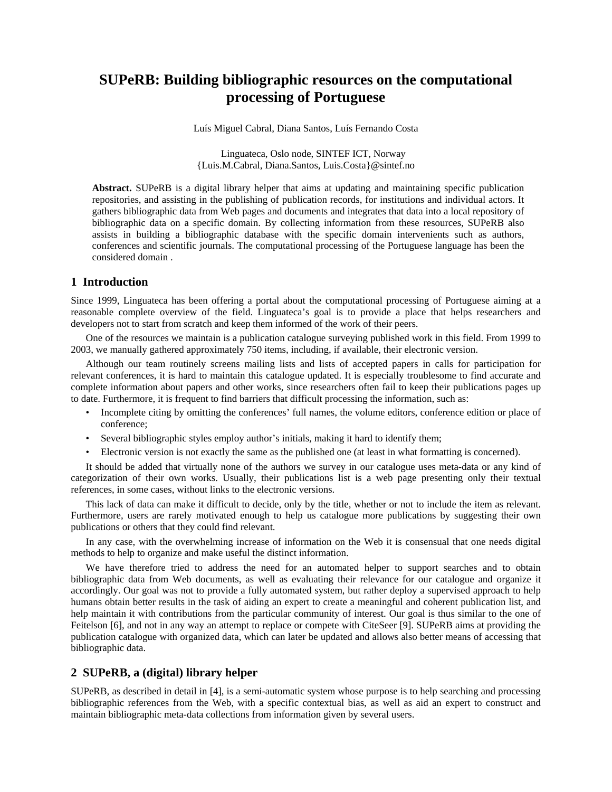# **SUPeRB: Building bibliographic resources on the computational processing of Portuguese**

Luís Miguel Cabral, Diana Santos, Luís Fernando Costa

Linguateca, Oslo node, SINTEF ICT, Norway {Luis.M.Cabral, Diana.Santos, Luis.Costa}@sintef.no

**Abstract.** SUPeRB is a digital library helper that aims at updating and maintaining specific publication repositories, and assisting in the publishing of publication records, for institutions and individual actors. It gathers bibliographic data from Web pages and documents and integrates that data into a local repository of bibliographic data on a specific domain. By collecting information from these resources, SUPeRB also assists in building a bibliographic database with the specific domain intervenients such as authors, conferences and scientific journals. The computational processing of the Portuguese language has been the considered domain .

#### **1 Introduction**

Since 1999, Linguateca has been offering a portal about the computational processing of Portuguese aiming at a reasonable complete overview of the field. Linguateca's goal is to provide a place that helps researchers and developers not to start from scratch and keep them informed of the work of their peers.

One of the resources we maintain is a publication catalogue surveying published work in this field. From 1999 to 2003, we manually gathered approximately 750 items, including, if available, their electronic version.

Although our team routinely screens mailing lists and lists of accepted papers in calls for participation for relevant conferences, it is hard to maintain this catalogue updated. It is especially troublesome to find accurate and complete information about papers and other works, since researchers often fail to keep their publications pages up to date. Furthermore, it is frequent to find barriers that difficult processing the information, such as:

- Incomplete citing by omitting the conferences' full names, the volume editors, conference edition or place of conference;
- Several bibliographic styles employ author's initials, making it hard to identify them;
- Electronic version is not exactly the same as the published one (at least in what formatting is concerned).

It should be added that virtually none of the authors we survey in our catalogue uses meta-data or any kind of categorization of their own works. Usually, their publications list is a web page presenting only their textual references, in some cases, without links to the electronic versions.

This lack of data can make it difficult to decide, only by the title, whether or not to include the item as relevant. Furthermore, users are rarely motivated enough to help us catalogue more publications by suggesting their own publications or others that they could find relevant.

In any case, with the overwhelming increase of information on the Web it is consensual that one needs digital methods to help to organize and make useful the distinct information.

We have therefore tried to address the need for an automated helper to support searches and to obtain bibliographic data from Web documents, as well as evaluating their relevance for our catalogue and organize it accordingly. Our goal was not to provide a fully automated system, but rather deploy a supervised approach to help humans obtain better results in the task of aiding an expert to create a meaningful and coherent publication list, and help maintain it with contributions from the particular community of interest. Our goal is thus similar to the one of Feitelson [[6\]](#page-5-0), and not in any way an attempt to replace or compete with CiteSeer [\[9](#page-5-1)]. SUPeRB aims at providing the publication catalogue with organized data, which can later be updated and allows also better means of accessing that bibliographic data.

#### **2 SUPeRB, a (digital) library helper**

SUPeRB, as described in detail in [\[4](#page-5-2)], is a semi-automatic system whose purpose is to help searching and processing bibliographic references from the Web, with a specific contextual bias, as well as aid an expert to construct and maintain bibliographic meta-data collections from information given by several users.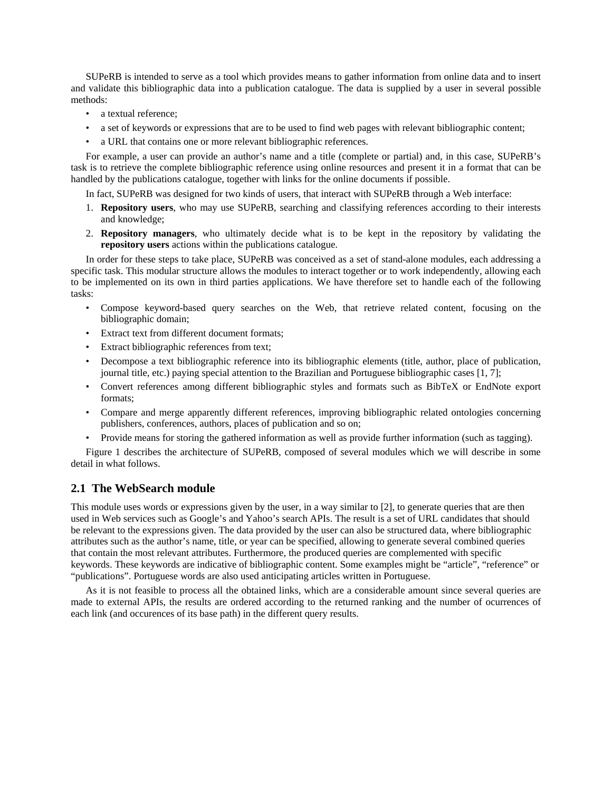SUPeRB is intended to serve as a tool which provides means to gather information from online data and to insert and validate this bibliographic data into a publication catalogue. The data is supplied by a user in several possible methods:

- a textual reference:
- a set of keywords or expressions that are to be used to find web pages with relevant bibliographic content;
- a URL that contains one or more relevant bibliographic references.

For example, a user can provide an author's name and a title (complete or partial) and, in this case, SUPeRB's task is to retrieve the complete bibliographic reference using online resources and present it in a format that can be handled by the publications catalogue, together with links for the online documents if possible.

In fact, SUPeRB was designed for two kinds of users, that interact with SUPeRB through a Web interface:

- 1. **Repository users**, who may use SUPeRB, searching and classifying references according to their interests and knowledge;
- 2. **Repository managers**, who ultimately decide what is to be kept in the repository by validating the **repository users** actions within the publications catalogue.

In order for these steps to take place, SUPeRB was conceived as a set of stand-alone modules, each addressing a specific task. This modular structure allows the modules to interact together or to work independently, allowing each to be implemented on its own in third parties applications. We have therefore set to handle each of the following tasks:

- Compose keyword-based query searches on the Web, that retrieve related content, focusing on the bibliographic domain;
- Extract text from different document formats;
- Extract bibliographic references from text;
- Decompose a text bibliographic reference into its bibliographic elements (title, author, place of publication, journal title, etc.) paying special attention to the Brazilian and Portuguese bibliographic cases [[1,](#page-5-3) [7\]](#page-5-4);
- Convert references among different bibliographic styles and formats such as BibTeX or EndNote export formats;
- Compare and merge apparently different references, improving bibliographic related ontologies concerning publishers, conferences, authors, places of publication and so on;
- Provide means for storing the gathered information as well as provide further information (such as tagging).

Figure 1 describes the architecture of SUPeRB, composed of several modules which we will describe in some detail in what follows.

# **2.1 The WebSearch module**

This module uses words or expressions given by the user, in a way similar to [\[2](#page-5-5)], to generate queries that are then used in Web services such as Google's and Yahoo's search APIs. The result is a set of URL candidates that should be relevant to the expressions given. The data provided by the user can also be structured data, where bibliographic attributes such as the author's name, title, or year can be specified, allowing to generate several combined queries that contain the most relevant attributes. Furthermore, the produced queries are complemented with specific keywords. These keywords are indicative of bibliographic content. Some examples might be "article", "reference" or "publications". Portuguese words are also used anticipating articles written in Portuguese.

As it is not feasible to process all the obtained links, which are a considerable amount since several queries are made to external APIs, the results are ordered according to the returned ranking and the number of ocurrences of each link (and occurences of its base path) in the different query results.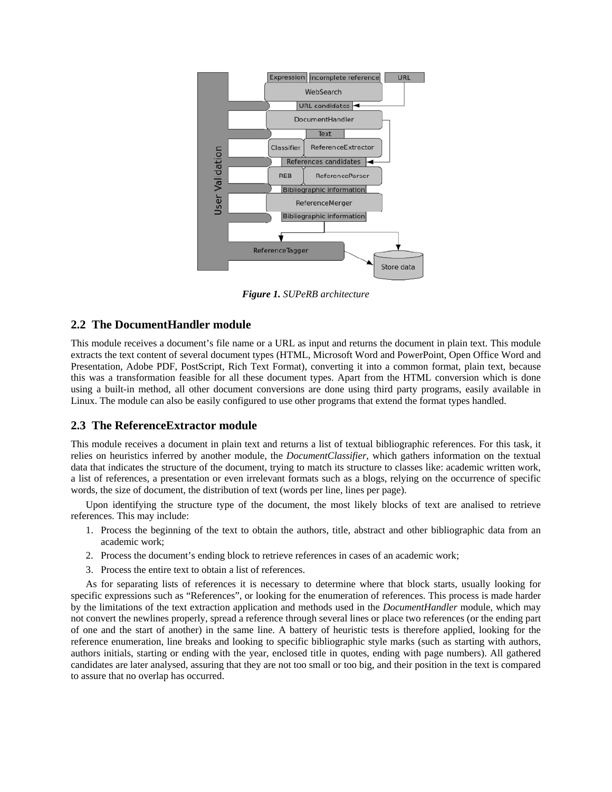

*Figure 1. SUPeRB architecture* 

# **2.2 The DocumentHandler module**

This module receives a document's file name or a URL as input and returns the document in plain text. This module extracts the text content of several document types (HTML, Microsoft Word and PowerPoint, Open Office Word and Presentation, Adobe PDF, PostScript, Rich Text Format), converting it into a common format, plain text, because this was a transformation feasible for all these document types. Apart from the HTML conversion which is done using a built-in method, all other document conversions are done using third party programs, easily available in Linux. The module can also be easily configured to use other programs that extend the format types handled.

#### **2.3 The ReferenceExtractor module**

This module receives a document in plain text and returns a list of textual bibliographic references. For this task, it relies on heuristics inferred by another module, the *DocumentClassifier*, which gathers information on the textual data that indicates the structure of the document, trying to match its structure to classes like: academic written work, a list of references, a presentation or even irrelevant formats such as a blogs, relying on the occurrence of specific words, the size of document, the distribution of text (words per line, lines per page).

Upon identifying the structure type of the document, the most likely blocks of text are analised to retrieve references. This may include:

- 1. Process the beginning of the text to obtain the authors, title, abstract and other bibliographic data from an academic work;
- 2. Process the document's ending block to retrieve references in cases of an academic work;
- 3. Process the entire text to obtain a list of references.

As for separating lists of references it is necessary to determine where that block starts, usually looking for specific expressions such as "References", or looking for the enumeration of references. This process is made harder by the limitations of the text extraction application and methods used in the *DocumentHandler* module, which may not convert the newlines properly, spread a reference through several lines or place two references (or the ending part of one and the start of another) in the same line. A battery of heuristic tests is therefore applied, looking for the reference enumeration, line breaks and looking to specific bibliographic style marks (such as starting with authors, authors initials, starting or ending with the year, enclosed title in quotes, ending with page numbers). All gathered candidates are later analysed, assuring that they are not too small or too big, and their position in the text is compared to assure that no overlap has occurred.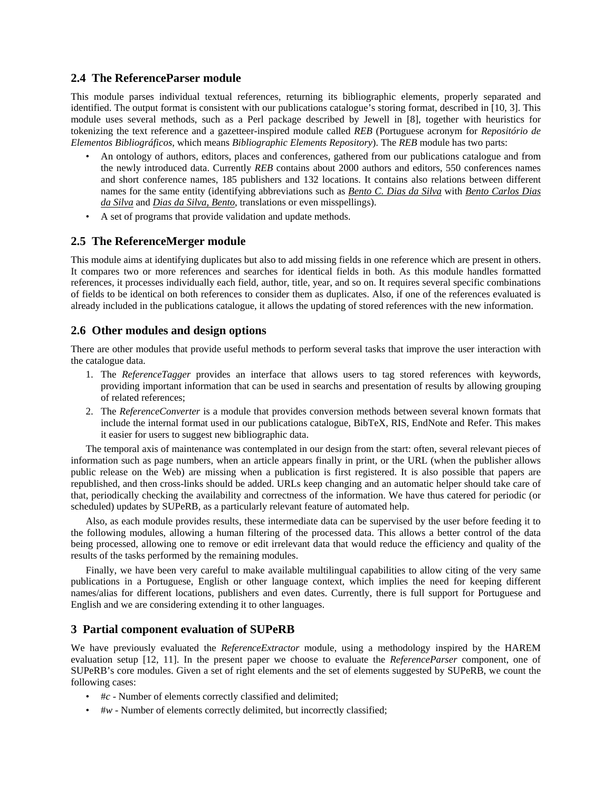# **2.4 The ReferenceParser module**

This module parses individual textual references, returning its bibliographic elements, properly separated and identified. The output format is consistent with our publications catalogue's storing format, described in [\[10,](#page-5-6) [3](#page-5-7)]. This module uses several methods, such as a Perl package described by Jewell in [[8\]](#page-5-8), together with heuristics for tokenizing the text reference and a gazetteer-inspired module called *REB* (Portuguese acronym for *Repositório de Elementos Bibliográficos*, which means *Bibliographic Elements Repository*). The *REB* module has two parts:

- An ontology of authors, editors, places and conferences, gathered from our publications catalogue and from the newly introduced data. Currently *REB* contains about 2000 authors and editors, 550 conferences names and short conference names, 185 publishers and 132 locations. It contains also relations between different names for the same entity (identifying abbreviations such as *Bento C. Dias da Silva* with *Bento Carlos Dias da Silva* and *Dias da Silva, Bento*, translations or even misspellings).
- A set of programs that provide validation and update methods.

# **2.5 The ReferenceMerger module**

This module aims at identifying duplicates but also to add missing fields in one reference which are present in others. It compares two or more references and searches for identical fields in both. As this module handles formatted references, it processes individually each field, author, title, year, and so on. It requires several specific combinations of fields to be identical on both references to consider them as duplicates. Also, if one of the references evaluated is already included in the publications catalogue, it allows the updating of stored references with the new information.

# **2.6 Other modules and design options**

There are other modules that provide useful methods to perform several tasks that improve the user interaction with the catalogue data.

- 1. The *ReferenceTagger* provides an interface that allows users to tag stored references with keywords, providing important information that can be used in searchs and presentation of results by allowing grouping of related references;
- 2. The *ReferenceConverter* is a module that provides conversion methods between several known formats that include the internal format used in our publications catalogue, BibTeX, RIS, EndNote and Refer. This makes it easier for users to suggest new bibliographic data.

The temporal axis of maintenance was contemplated in our design from the start: often, several relevant pieces of information such as page numbers, when an article appears finally in print, or the URL (when the publisher allows public release on the Web) are missing when a publication is first registered. It is also possible that papers are republished, and then cross-links should be added. URLs keep changing and an automatic helper should take care of that, periodically checking the availability and correctness of the information. We have thus catered for periodic (or scheduled) updates by SUPeRB, as a particularly relevant feature of automated help.

Also, as each module provides results, these intermediate data can be supervised by the user before feeding it to the following modules, allowing a human filtering of the processed data. This allows a better control of the data being processed, allowing one to remove or edit irrelevant data that would reduce the efficiency and quality of the results of the tasks performed by the remaining modules.

Finally, we have been very careful to make available multilingual capabilities to allow citing of the very same publications in a Portuguese, English or other language context, which implies the need for keeping different names/alias for different locations, publishers and even dates. Currently, there is full support for Portuguese and English and we are considering extending it to other languages.

# **3 Partial component evaluation of SUPeRB**

We have previously evaluated the *ReferenceExtractor* module, using a methodology inspired by the HAREM evaluation setup [\[12](#page-5-9), [11\]](#page-5-10). In the present paper we choose to evaluate the *ReferenceParser* component, one of SUPeRB's core modules. Given a set of right elements and the set of elements suggested by SUPeRB, we count the following cases:

- #*c* Number of elements correctly classified and delimited;
- #*w* Number of elements correctly delimited, but incorrectly classified;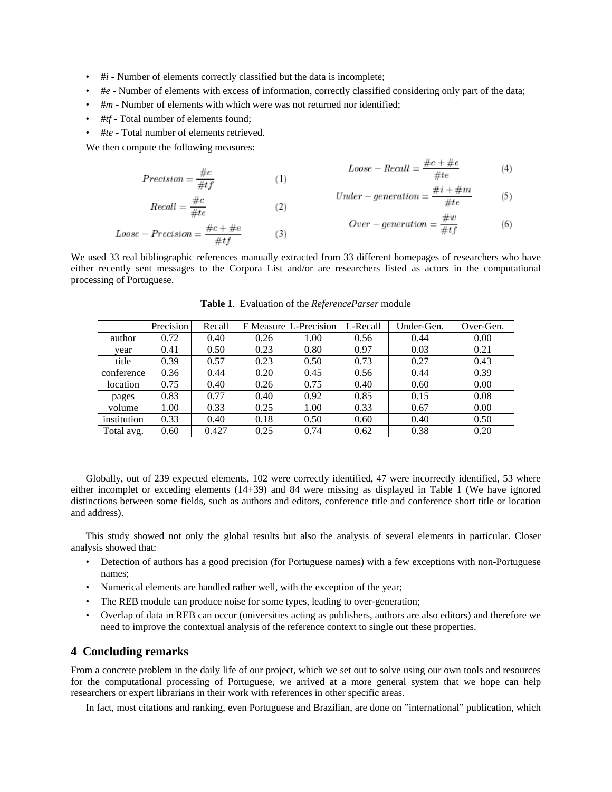- #*i* Number of elements correctly classified but the data is incomplete;
- #*e* Number of elements with excess of information, correctly classified considering only part of the data;
- #*m* Number of elements with which were was not returned nor identified;
- #*tf* Total number of elements found;
- #*te* Total number of elements retrieved.

We then compute the following measures:

$$
Precision = \frac{\#c}{\#tf} \tag{4}
$$
\n
$$
Loss = Recall = \frac{\#c + \#c}{\#te} \tag{4}
$$

$$
Recall = \frac{\#c}{\#te}
$$
 (2)  
Loose – Precision = 
$$
\frac{\#c + \#e}{\#tf}
$$
 (3)

$$
Under-generation = \frac{\#i + \#m}{\#te} \tag{5}
$$

 $\mu_{\alpha} \pm \mu_{\beta}$ 

$$
Over-generation = \frac{\#w}{\#tf}
$$
 (6)

<span id="page-4-0"></span>We used 33 real bibliographic references manually extracted from 33 different homepages of researchers who have either recently sent messages to the Corpora List and/or are researchers listed as actors in the computational processing of Portuguese.

 $(3)$ 

|             | Precision | Recall |      | F Measure L-Precision | L-Recall | Under-Gen. | Over-Gen. |
|-------------|-----------|--------|------|-----------------------|----------|------------|-----------|
| author      | 0.72      | 0.40   | 0.26 | 1.00                  | 0.56     | 0.44       | 0.00      |
| vear        | 0.41      | 0.50   | 0.23 | 0.80                  | 0.97     | 0.03       | 0.21      |
| title       | 0.39      | 0.57   | 0.23 | 0.50                  | 0.73     | 0.27       | 0.43      |
| conference  | 0.36      | 0.44   | 0.20 | 0.45                  | 0.56     | 0.44       | 0.39      |
| location    | 0.75      | 0.40   | 0.26 | 0.75                  | 0.40     | 0.60       | 0.00      |
| pages       | 0.83      | 0.77   | 0.40 | 0.92                  | 0.85     | 0.15       | 0.08      |
| volume      | 1.00      | 0.33   | 0.25 | 1.00                  | 0.33     | 0.67       | 0.00      |
| institution | 0.33      | 0.40   | 0.18 | 0.50                  | 0.60     | 0.40       | 0.50      |
| Total avg.  | 0.60      | 0.427  | 0.25 | 0.74                  | 0.62     | 0.38       | 0.20      |

**Table 1**. Evaluation of the *ReferenceParser* module

Globally, out of 239 expected elements, 102 were correctly identified, 47 were incorrectly identified, 53 where either incomplet or exceding elements (14+39) and 84 were missing as displayed in Table [1](#page-4-0) (We have ignored distinctions between some fields, such as authors and editors, conference title and conference short title or location and address).

This study showed not only the global results but also the analysis of several elements in particular. Closer analysis showed that:

- Detection of authors has a good precision (for Portuguese names) with a few exceptions with non-Portuguese names;
- Numerical elements are handled rather well, with the exception of the year;
- The REB module can produce noise for some types, leading to over-generation;
- Overlap of data in REB can occur (universities acting as publishers, authors are also editors) and therefore we need to improve the contextual analysis of the reference context to single out these properties.

#### **4 Concluding remarks**

From a concrete problem in the daily life of our project, which we set out to solve using our own tools and resources for the computational processing of Portuguese, we arrived at a more general system that we hope can help researchers or expert librarians in their work with references in other specific areas.

In fact, most citations and ranking, even Portuguese and Brazilian, are done on "international" publication, which